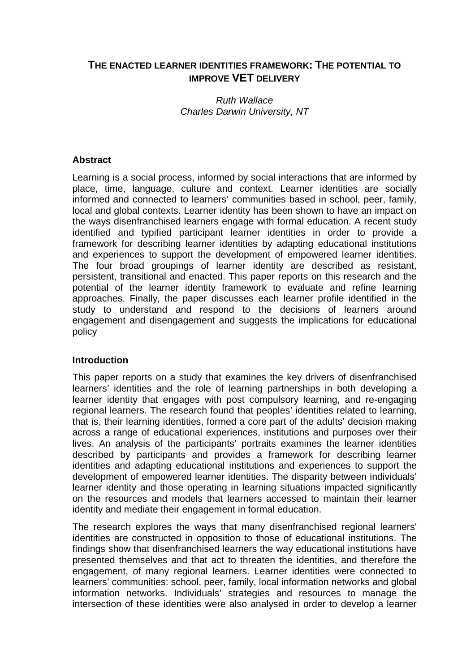# **THE ENACTED LEARNER IDENTITIES FRAMEWORK: THE POTENTIAL TO IMPROVE VET DELIVERY**

Ruth Wallace Charles Darwin University, NT

## **Abstract**

Learning is a social process, informed by social interactions that are informed by place, time, language, culture and context. Learner identities are socially informed and connected to learners' communities based in school, peer, family, local and global contexts. Learner identity has been shown to have an impact on the ways disenfranchised learners engage with formal education. A recent study identified and typified participant learner identities in order to provide a framework for describing learner identities by adapting educational institutions and experiences to support the development of empowered learner identities. The four broad groupings of learner identity are described as resistant, persistent, transitional and enacted. This paper reports on this research and the potential of the learner identity framework to evaluate and refine learning approaches. Finally, the paper discusses each learner profile identified in the study to understand and respond to the decisions of learners around engagement and disengagement and suggests the implications for educational policy

#### **Introduction**

This paper reports on a study that examines the key drivers of disenfranchised learners' identities and the role of learning partnerships in both developing a learner identity that engages with post compulsory learning, and re-engaging regional learners. The research found that peoples' identities related to learning, that is, their learning identities, formed a core part of the adults' decision making across a range of educational experiences, institutions and purposes over their lives. An analysis of the participants' portraits examines the learner identities described by participants and provides a framework for describing learner identities and adapting educational institutions and experiences to support the development of empowered learner identities. The disparity between individuals' learner identity and those operating in learning situations impacted significantly on the resources and models that learners accessed to maintain their learner identity and mediate their engagement in formal education.

The research explores the ways that many disenfranchised regional learners' identities are constructed in opposition to those of educational institutions. The findings show that disenfranchised learners the way educational institutions have presented themselves and that act to threaten the identities, and therefore the engagement, of many regional learners. Learner identities were connected to learners' communities: school, peer, family, local information networks and global information networks. Individuals' strategies and resources to manage the intersection of these identities were also analysed in order to develop a learner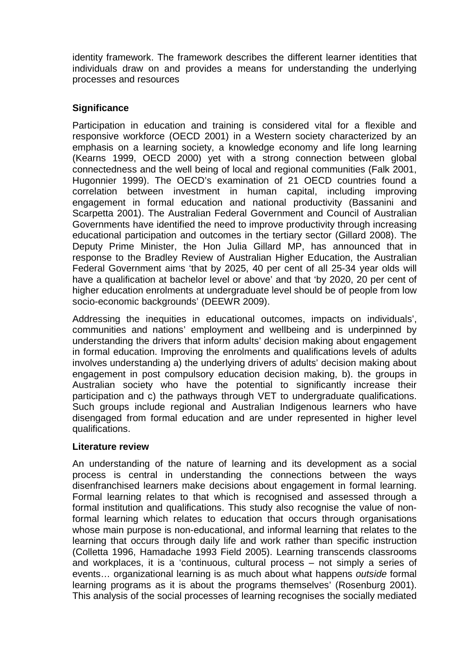identity framework. The framework describes the different learner identities that individuals draw on and provides a means for understanding the underlying processes and resources

# **Significance**

Participation in education and training is considered vital for a flexible and responsive workforce (OECD 2001) in a Western society characterized by an emphasis on a learning society, a knowledge economy and life long learning (Kearns 1999, OECD 2000) yet with a strong connection between global connectedness and the well being of local and regional communities (Falk 2001, Hugonnier 1999). The OECD's examination of 21 OECD countries found a correlation between investment in human capital, including improving engagement in formal education and national productivity (Bassanini and Scarpetta 2001). The Australian Federal Government and Council of Australian Governments have identified the need to improve productivity through increasing educational participation and outcomes in the tertiary sector (Gillard 2008). The Deputy Prime Minister, the Hon Julia Gillard MP, has announced that in response to the Bradley Review of Australian Higher Education, the Australian Federal Government aims 'that by 2025, 40 per cent of all 25-34 year olds will have a qualification at bachelor level or above' and that 'by 2020, 20 per cent of higher education enrolments at undergraduate level should be of people from low socio-economic backgrounds' (DEEWR 2009).

Addressing the inequities in educational outcomes, impacts on individuals', communities and nations' employment and wellbeing and is underpinned by understanding the drivers that inform adults' decision making about engagement in formal education. Improving the enrolments and qualifications levels of adults involves understanding a) the underlying drivers of adults' decision making about engagement in post compulsory education decision making, b). the groups in Australian society who have the potential to significantly increase their participation and c) the pathways through VET to undergraduate qualifications. Such groups include regional and Australian Indigenous learners who have disengaged from formal education and are under represented in higher level qualifications.

#### **Literature review**

An understanding of the nature of learning and its development as a social process is central in understanding the connections between the ways disenfranchised learners make decisions about engagement in formal learning. Formal learning relates to that which is recognised and assessed through a formal institution and qualifications. This study also recognise the value of nonformal learning which relates to education that occurs through organisations whose main purpose is non-educational, and informal learning that relates to the learning that occurs through daily life and work rather than specific instruction (Colletta 1996, Hamadache 1993 Field 2005). Learning transcends classrooms and workplaces, it is a 'continuous, cultural process – not simply a series of events… organizational learning is as much about what happens outside formal learning programs as it is about the programs themselves' (Rosenburg 2001). This analysis of the social processes of learning recognises the socially mediated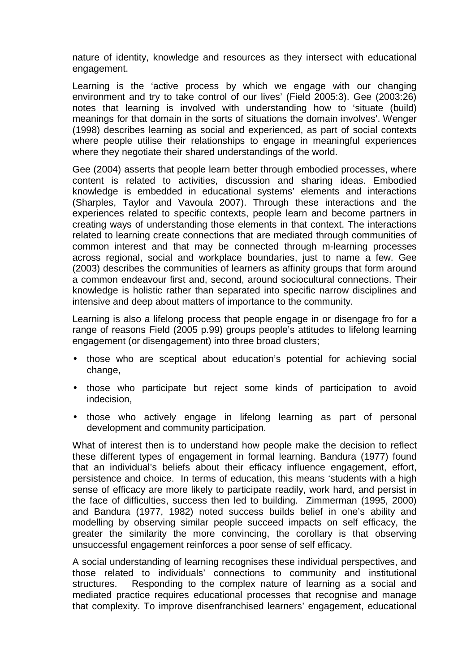nature of identity, knowledge and resources as they intersect with educational engagement.

Learning is the 'active process by which we engage with our changing environment and try to take control of our lives' (Field 2005:3). Gee (2003:26) notes that learning is involved with understanding how to 'situate (build) meanings for that domain in the sorts of situations the domain involves'. Wenger (1998) describes learning as social and experienced, as part of social contexts where people utilise their relationships to engage in meaningful experiences where they negotiate their shared understandings of the world.

Gee (2004) asserts that people learn better through embodied processes, where content is related to activities, discussion and sharing ideas. Embodied knowledge is embedded in educational systems' elements and interactions (Sharples, Taylor and Vavoula 2007). Through these interactions and the experiences related to specific contexts, people learn and become partners in creating ways of understanding those elements in that context. The interactions related to learning create connections that are mediated through communities of common interest and that may be connected through m-learning processes across regional, social and workplace boundaries, just to name a few. Gee (2003) describes the communities of learners as affinity groups that form around a common endeavour first and, second, around sociocultural connections. Their knowledge is holistic rather than separated into specific narrow disciplines and intensive and deep about matters of importance to the community.

Learning is also a lifelong process that people engage in or disengage fro for a range of reasons Field (2005 p.99) groups people's attitudes to lifelong learning engagement (or disengagement) into three broad clusters;

- those who are sceptical about education's potential for achieving social change,
- those who participate but reject some kinds of participation to avoid indecision,
- those who actively engage in lifelong learning as part of personal development and community participation.

What of interest then is to understand how people make the decision to reflect these different types of engagement in formal learning. Bandura (1977) found that an individual's beliefs about their efficacy influence engagement, effort, persistence and choice. In terms of education, this means 'students with a high sense of efficacy are more likely to participate readily, work hard, and persist in the face of difficulties, success then led to building. Zimmerman (1995, 2000) and Bandura (1977, 1982) noted success builds belief in one's ability and modelling by observing similar people succeed impacts on self efficacy, the greater the similarity the more convincing, the corollary is that observing unsuccessful engagement reinforces a poor sense of self efficacy.

A social understanding of learning recognises these individual perspectives, and those related to individuals' connections to community and institutional structures. Responding to the complex nature of learning as a social and mediated practice requires educational processes that recognise and manage that complexity. To improve disenfranchised learners' engagement, educational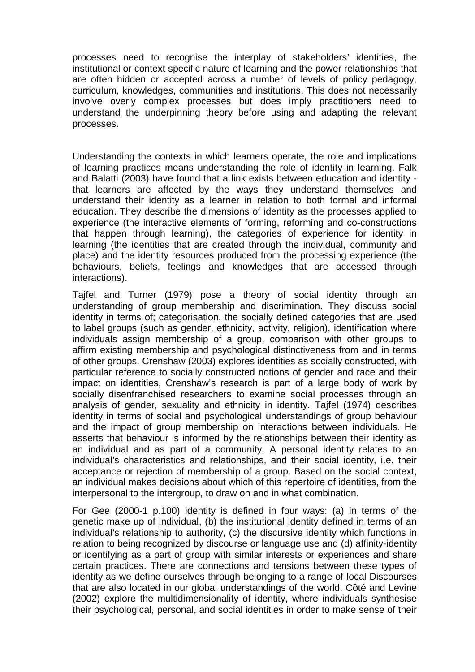processes need to recognise the interplay of stakeholders' identities, the institutional or context specific nature of learning and the power relationships that are often hidden or accepted across a number of levels of policy pedagogy, curriculum, knowledges, communities and institutions. This does not necessarily involve overly complex processes but does imply practitioners need to understand the underpinning theory before using and adapting the relevant processes.

Understanding the contexts in which learners operate, the role and implications of learning practices means understanding the role of identity in learning. Falk and Balatti (2003) have found that a link exists between education and identity that learners are affected by the ways they understand themselves and understand their identity as a learner in relation to both formal and informal education. They describe the dimensions of identity as the processes applied to experience (the interactive elements of forming, reforming and co-constructions that happen through learning), the categories of experience for identity in learning (the identities that are created through the individual, community and place) and the identity resources produced from the processing experience (the behaviours, beliefs, feelings and knowledges that are accessed through interactions).

Tajfel and Turner (1979) pose a theory of social identity through an understanding of group membership and discrimination. They discuss social identity in terms of; categorisation, the socially defined categories that are used to label groups (such as gender, ethnicity, activity, religion), identification where individuals assign membership of a group, comparison with other groups to affirm existing membership and psychological distinctiveness from and in terms of other groups. Crenshaw (2003) explores identities as socially constructed, with particular reference to socially constructed notions of gender and race and their impact on identities, Crenshaw's research is part of a large body of work by socially disenfranchised researchers to examine social processes through an analysis of gender, sexuality and ethnicity in identity. Tajfel (1974) describes identity in terms of social and psychological understandings of group behaviour and the impact of group membership on interactions between individuals. He asserts that behaviour is informed by the relationships between their identity as an individual and as part of a community. A personal identity relates to an individual's characteristics and relationships, and their social identity, i.e. their acceptance or rejection of membership of a group. Based on the social context, an individual makes decisions about which of this repertoire of identities, from the interpersonal to the intergroup, to draw on and in what combination.

For Gee (2000-1 p.100) identity is defined in four ways: (a) in terms of the genetic make up of individual, (b) the institutional identity defined in terms of an individual's relationship to authority, (c) the discursive identity which functions in relation to being recognized by discourse or language use and (d) affinity-identity or identifying as a part of group with similar interests or experiences and share certain practices. There are connections and tensions between these types of identity as we define ourselves through belonging to a range of local Discourses that are also located in our global understandings of the world. Côté and Levine (2002) explore the multidimensionality of identity, where individuals synthesise their psychological, personal, and social identities in order to make sense of their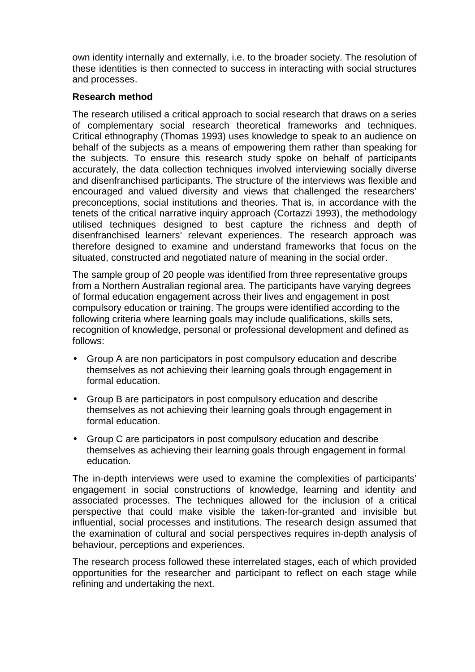own identity internally and externally, i.e. to the broader society. The resolution of these identities is then connected to success in interacting with social structures and processes.

#### **Research method**

The research utilised a critical approach to social research that draws on a series of complementary social research theoretical frameworks and techniques. Critical ethnography (Thomas 1993) uses knowledge to speak to an audience on behalf of the subjects as a means of empowering them rather than speaking for the subjects. To ensure this research study spoke on behalf of participants accurately, the data collection techniques involved interviewing socially diverse and disenfranchised participants. The structure of the interviews was flexible and encouraged and valued diversity and views that challenged the researchers' preconceptions, social institutions and theories. That is, in accordance with the tenets of the critical narrative inquiry approach (Cortazzi 1993), the methodology utilised techniques designed to best capture the richness and depth of disenfranchised learners' relevant experiences. The research approach was therefore designed to examine and understand frameworks that focus on the situated, constructed and negotiated nature of meaning in the social order.

The sample group of 20 people was identified from three representative groups from a Northern Australian regional area. The participants have varying degrees of formal education engagement across their lives and engagement in post compulsory education or training. The groups were identified according to the following criteria where learning goals may include qualifications, skills sets, recognition of knowledge, personal or professional development and defined as follows:

- Group A are non participators in post compulsory education and describe themselves as not achieving their learning goals through engagement in formal education.
- Group B are participators in post compulsory education and describe themselves as not achieving their learning goals through engagement in formal education.
- Group C are participators in post compulsory education and describe themselves as achieving their learning goals through engagement in formal education.

The in-depth interviews were used to examine the complexities of participants' engagement in social constructions of knowledge, learning and identity and associated processes. The techniques allowed for the inclusion of a critical perspective that could make visible the taken-for-granted and invisible but influential, social processes and institutions. The research design assumed that the examination of cultural and social perspectives requires in-depth analysis of behaviour, perceptions and experiences.

The research process followed these interrelated stages, each of which provided opportunities for the researcher and participant to reflect on each stage while refining and undertaking the next.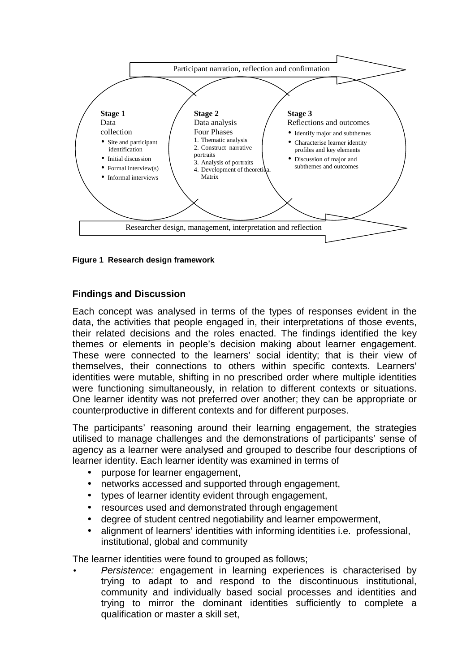

**Figure 1 Research design framework** 

## **Findings and Discussion**

Each concept was analysed in terms of the types of responses evident in the data, the activities that people engaged in, their interpretations of those events, their related decisions and the roles enacted. The findings identified the key themes or elements in people's decision making about learner engagement. These were connected to the learners' social identity; that is their view of themselves, their connections to others within specific contexts. Learners' identities were mutable, shifting in no prescribed order where multiple identities were functioning simultaneously, in relation to different contexts or situations. One learner identity was not preferred over another; they can be appropriate or counterproductive in different contexts and for different purposes.

The participants' reasoning around their learning engagement, the strategies utilised to manage challenges and the demonstrations of participants' sense of agency as a learner were analysed and grouped to describe four descriptions of learner identity. Each learner identity was examined in terms of

- purpose for learner engagement,
- networks accessed and supported through engagement,
- types of learner identity evident through engagement,
- resources used and demonstrated through engagement
- degree of student centred negotiability and learner empowerment,
- alignment of learners' identities with informing identities i.e. professional, institutional, global and community

The learner identities were found to grouped as follows;

Persistence: engagement in learning experiences is characterised by trying to adapt to and respond to the discontinuous institutional, community and individually based social processes and identities and trying to mirror the dominant identities sufficiently to complete a qualification or master a skill set,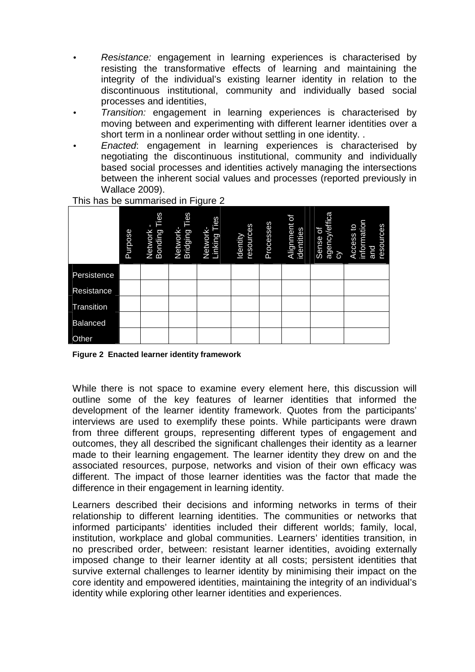- Resistance: engagement in learning experiences is characterised by resisting the transformative effects of learning and maintaining the integrity of the individual's existing learner identity in relation to the discontinuous institutional, community and individually based social processes and identities,
- Transition: engagement in learning experiences is characterised by moving between and experimenting with different learner identities over a short term in a nonlinear order without settling in one identity. .
- Enacted: engagement in learning experiences is characterised by negotiating the discontinuous institutional, community and individually based social processes and identities actively managing the intersections between the inherent social values and processes (reported previously in Wallace 2009).

|                 | Purpose | Network -<br>Bonding Ties | Ties<br>Network-<br>Bridging | Ties<br>Network-<br>Linking Ti | resources<br>Identity | Processes | ď<br>Alignment<br>identities | agency/effica<br>Sense of<br>$\delta$ | information<br>resources<br>q<br>Access<br><b>Sans</b> |
|-----------------|---------|---------------------------|------------------------------|--------------------------------|-----------------------|-----------|------------------------------|---------------------------------------|--------------------------------------------------------|
| Persistence     |         |                           |                              |                                |                       |           |                              |                                       |                                                        |
| Resistance      |         |                           |                              |                                |                       |           |                              |                                       |                                                        |
| Transition      |         |                           |                              |                                |                       |           |                              |                                       |                                                        |
| <b>Balanced</b> |         |                           |                              |                                |                       |           |                              |                                       |                                                        |
| Other           |         |                           |                              |                                |                       |           |                              |                                       |                                                        |

This has be summarised in Figure 2

**Figure 2 Enacted learner identity framework**

While there is not space to examine every element here, this discussion will outline some of the key features of learner identities that informed the development of the learner identity framework. Quotes from the participants' interviews are used to exemplify these points. While participants were drawn from three different groups, representing different types of engagement and outcomes, they all described the significant challenges their identity as a learner made to their learning engagement. The learner identity they drew on and the associated resources, purpose, networks and vision of their own efficacy was different. The impact of those learner identities was the factor that made the difference in their engagement in learning identity.

Learners described their decisions and informing networks in terms of their relationship to different learning identities. The communities or networks that informed participants' identities included their different worlds; family, local, institution, workplace and global communities. Learners' identities transition, in no prescribed order, between: resistant learner identities, avoiding externally imposed change to their learner identity at all costs; persistent identities that survive external challenges to learner identity by minimising their impact on the core identity and empowered identities, maintaining the integrity of an individual's identity while exploring other learner identities and experiences.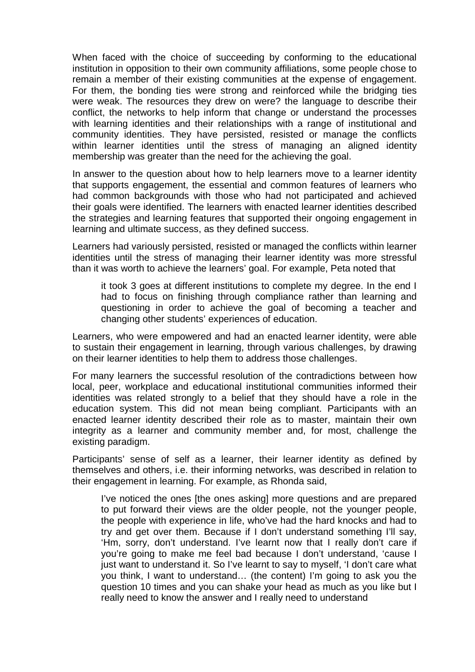When faced with the choice of succeeding by conforming to the educational institution in opposition to their own community affiliations, some people chose to remain a member of their existing communities at the expense of engagement. For them, the bonding ties were strong and reinforced while the bridging ties were weak. The resources they drew on were? the language to describe their conflict, the networks to help inform that change or understand the processes with learning identities and their relationships with a range of institutional and community identities. They have persisted, resisted or manage the conflicts within learner identities until the stress of managing an aligned identity membership was greater than the need for the achieving the goal.

In answer to the question about how to help learners move to a learner identity that supports engagement, the essential and common features of learners who had common backgrounds with those who had not participated and achieved their goals were identified. The learners with enacted learner identities described the strategies and learning features that supported their ongoing engagement in learning and ultimate success, as they defined success.

Learners had variously persisted, resisted or managed the conflicts within learner identities until the stress of managing their learner identity was more stressful than it was worth to achieve the learners' goal. For example, Peta noted that

it took 3 goes at different institutions to complete my degree. In the end I had to focus on finishing through compliance rather than learning and questioning in order to achieve the goal of becoming a teacher and changing other students' experiences of education.

Learners, who were empowered and had an enacted learner identity, were able to sustain their engagement in learning, through various challenges, by drawing on their learner identities to help them to address those challenges.

For many learners the successful resolution of the contradictions between how local, peer, workplace and educational institutional communities informed their identities was related strongly to a belief that they should have a role in the education system. This did not mean being compliant. Participants with an enacted learner identity described their role as to master, maintain their own integrity as a learner and community member and, for most, challenge the existing paradigm.

Participants' sense of self as a learner, their learner identity as defined by themselves and others, i.e. their informing networks, was described in relation to their engagement in learning. For example, as Rhonda said,

I've noticed the ones [the ones asking] more questions and are prepared to put forward their views are the older people, not the younger people, the people with experience in life, who've had the hard knocks and had to try and get over them. Because if I don't understand something I'll say, 'Hm, sorry, don't understand. I've learnt now that I really don't care if you're going to make me feel bad because I don't understand, 'cause I just want to understand it. So I've learnt to say to myself, 'I don't care what you think, I want to understand… (the content) I'm going to ask you the question 10 times and you can shake your head as much as you like but I really need to know the answer and I really need to understand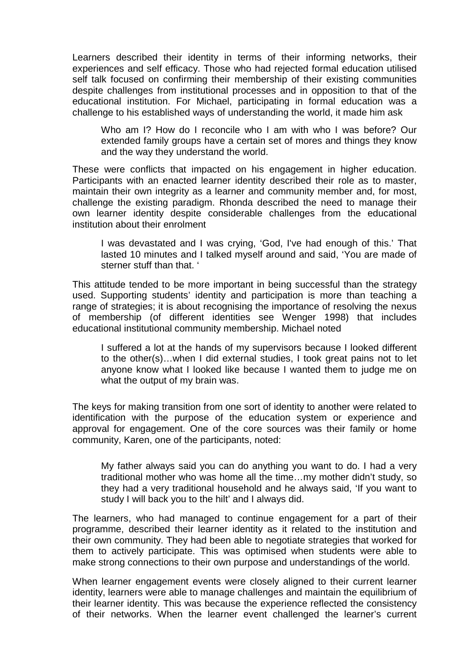Learners described their identity in terms of their informing networks, their experiences and self efficacy. Those who had rejected formal education utilised self talk focused on confirming their membership of their existing communities despite challenges from institutional processes and in opposition to that of the educational institution. For Michael, participating in formal education was a challenge to his established ways of understanding the world, it made him ask

Who am I? How do I reconcile who I am with who I was before? Our extended family groups have a certain set of mores and things they know and the way they understand the world.

These were conflicts that impacted on his engagement in higher education. Participants with an enacted learner identity described their role as to master, maintain their own integrity as a learner and community member and, for most, challenge the existing paradigm. Rhonda described the need to manage their own learner identity despite considerable challenges from the educational institution about their enrolment

I was devastated and I was crying, 'God, I've had enough of this.' That lasted 10 minutes and I talked myself around and said, 'You are made of sterner stuff than that. '

This attitude tended to be more important in being successful than the strategy used. Supporting students' identity and participation is more than teaching a range of strategies; it is about recognising the importance of resolving the nexus of membership (of different identities see Wenger 1998) that includes educational institutional community membership. Michael noted

I suffered a lot at the hands of my supervisors because I looked different to the other(s)…when I did external studies, I took great pains not to let anyone know what I looked like because I wanted them to judge me on what the output of my brain was.

The keys for making transition from one sort of identity to another were related to identification with the purpose of the education system or experience and approval for engagement. One of the core sources was their family or home community, Karen, one of the participants, noted:

My father always said you can do anything you want to do. I had a very traditional mother who was home all the time…my mother didn't study, so they had a very traditional household and he always said, 'If you want to study I will back you to the hilt' and I always did.

The learners, who had managed to continue engagement for a part of their programme, described their learner identity as it related to the institution and their own community. They had been able to negotiate strategies that worked for them to actively participate. This was optimised when students were able to make strong connections to their own purpose and understandings of the world.

When learner engagement events were closely aligned to their current learner identity, learners were able to manage challenges and maintain the equilibrium of their learner identity. This was because the experience reflected the consistency of their networks. When the learner event challenged the learner's current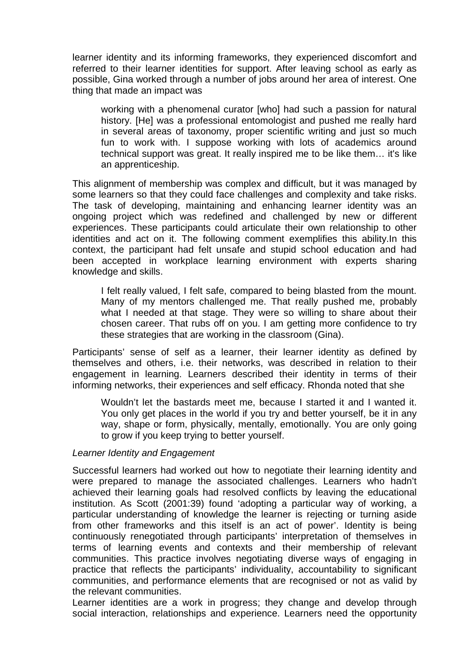learner identity and its informing frameworks, they experienced discomfort and referred to their learner identities for support. After leaving school as early as possible, Gina worked through a number of jobs around her area of interest. One thing that made an impact was

working with a phenomenal curator [who] had such a passion for natural history. [He] was a professional entomologist and pushed me really hard in several areas of taxonomy, proper scientific writing and just so much fun to work with. I suppose working with lots of academics around technical support was great. It really inspired me to be like them… it's like an apprenticeship.

This alignment of membership was complex and difficult, but it was managed by some learners so that they could face challenges and complexity and take risks. The task of developing, maintaining and enhancing learner identity was an ongoing project which was redefined and challenged by new or different experiences. These participants could articulate their own relationship to other identities and act on it. The following comment exemplifies this ability.In this context, the participant had felt unsafe and stupid school education and had been accepted in workplace learning environment with experts sharing knowledge and skills.

I felt really valued, I felt safe, compared to being blasted from the mount. Many of my mentors challenged me. That really pushed me, probably what I needed at that stage. They were so willing to share about their chosen career. That rubs off on you. I am getting more confidence to try these strategies that are working in the classroom (Gina).

Participants' sense of self as a learner, their learner identity as defined by themselves and others, i.e. their networks, was described in relation to their engagement in learning. Learners described their identity in terms of their informing networks, their experiences and self efficacy. Rhonda noted that she

Wouldn't let the bastards meet me, because I started it and I wanted it. You only get places in the world if you try and better yourself, be it in any way, shape or form, physically, mentally, emotionally. You are only going to grow if you keep trying to better yourself.

#### Learner Identity and Engagement

Successful learners had worked out how to negotiate their learning identity and were prepared to manage the associated challenges. Learners who hadn't achieved their learning goals had resolved conflicts by leaving the educational institution. As Scott (2001:39) found 'adopting a particular way of working, a particular understanding of knowledge the learner is rejecting or turning aside from other frameworks and this itself is an act of power'. Identity is being continuously renegotiated through participants' interpretation of themselves in terms of learning events and contexts and their membership of relevant communities. This practice involves negotiating diverse ways of engaging in practice that reflects the participants' individuality, accountability to significant communities, and performance elements that are recognised or not as valid by the relevant communities.

Learner identities are a work in progress; they change and develop through social interaction, relationships and experience. Learners need the opportunity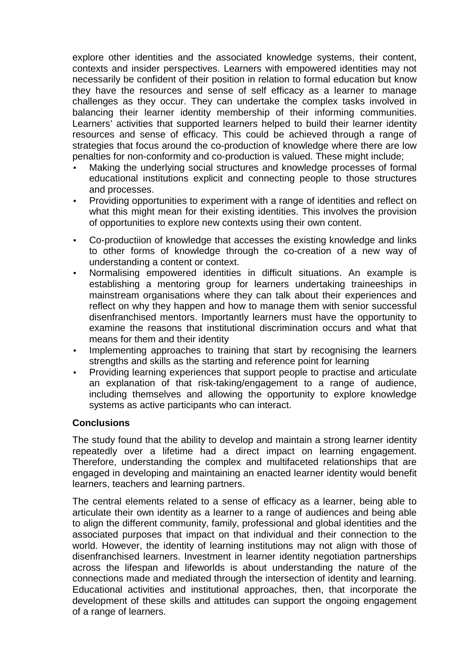explore other identities and the associated knowledge systems, their content, contexts and insider perspectives. Learners with empowered identities may not necessarily be confident of their position in relation to formal education but know they have the resources and sense of self efficacy as a learner to manage challenges as they occur. They can undertake the complex tasks involved in balancing their learner identity membership of their informing communities. Learners' activities that supported learners helped to build their learner identity resources and sense of efficacy. This could be achieved through a range of strategies that focus around the co-production of knowledge where there are low penalties for non-conformity and co-production is valued. These might include;

- Making the underlying social structures and knowledge processes of formal educational institutions explicit and connecting people to those structures and processes.
- Providing opportunities to experiment with a range of identities and reflect on what this might mean for their existing identities. This involves the provision of opportunities to explore new contexts using their own content.
- Co-productiion of knowledge that accesses the existing knowledge and links to other forms of knowledge through the co-creation of a new way of understanding a content or context.
- Normalising empowered identities in difficult situations. An example is establishing a mentoring group for learners undertaking traineeships in mainstream organisations where they can talk about their experiences and reflect on why they happen and how to manage them with senior successful disenfranchised mentors. Importantly learners must have the opportunity to examine the reasons that institutional discrimination occurs and what that means for them and their identity
- Implementing approaches to training that start by recognising the learners strengths and skills as the starting and reference point for learning
- Providing learning experiences that support people to practise and articulate an explanation of that risk-taking/engagement to a range of audience, including themselves and allowing the opportunity to explore knowledge systems as active participants who can interact.

#### **Conclusions**

The study found that the ability to develop and maintain a strong learner identity repeatedly over a lifetime had a direct impact on learning engagement. Therefore, understanding the complex and multifaceted relationships that are engaged in developing and maintaining an enacted learner identity would benefit learners, teachers and learning partners.

The central elements related to a sense of efficacy as a learner, being able to articulate their own identity as a learner to a range of audiences and being able to align the different community, family, professional and global identities and the associated purposes that impact on that individual and their connection to the world. However, the identity of learning institutions may not align with those of disenfranchised learners. Investment in learner identity negotiation partnerships across the lifespan and lifeworlds is about understanding the nature of the connections made and mediated through the intersection of identity and learning. Educational activities and institutional approaches, then, that incorporate the development of these skills and attitudes can support the ongoing engagement of a range of learners.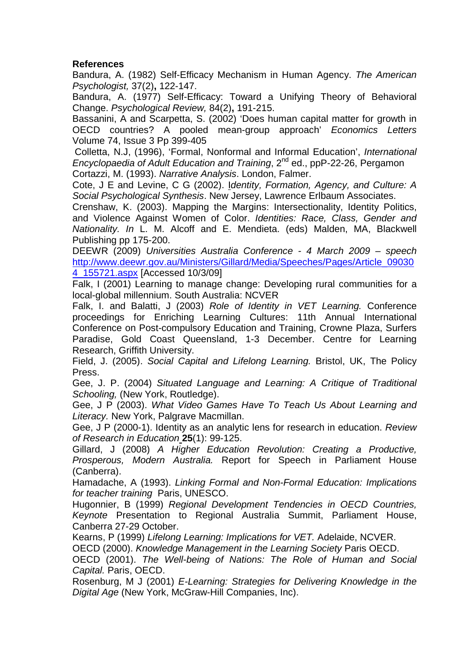### **References**

Bandura, A. (1982) Self-Efficacy Mechanism in Human Agency. The American Psychologist, 37(2)**,** 122-147.

Bandura, A. (1977) Self-Efficacy: Toward a Unifying Theory of Behavioral Change. Psychological Review, 84(2)**,** 191-215.

Bassanini, A and Scarpetta, S. (2002) 'Does human capital matter for growth in OECD countries? A pooled mean-group approach' Economics Letters Volume 74, Issue 3 Pp 399-405

Colletta, N.J, (1996), 'Formal, Nonformal and Informal Education', International Encyclopaedia of Adult Education and Training, 2<sup>nd</sup> ed., ppP-22-26, Pergamon Cortazzi, M. (1993). Narrative Analysis. London, Falmer.

Cote, J E and Levine, C G (2002). Identity, Formation, Agency, and Culture: A Social Psychological Synthesis. New Jersey, Lawrence Erlbaum Associates.

Crenshaw, K. (2003). Mapping the Margins: Intersectionality, Identity Politics, and Violence Against Women of Color. Identities: Race, Class, Gender and Nationality. In L. M. Alcoff and E. Mendieta. (eds) Malden, MA, Blackwell Publishing pp 175-200.

DEEWR (2009) Universities Australia Conference - 4 March 2009 – speech http://www.deewr.gov.au/Ministers/Gillard/Media/Speeches/Pages/Article\_09030 4\_155721.aspx [Accessed 10/3/09]

Falk, I (2001) Learning to manage change: Developing rural communities for a local-global millennium. South Australia: NCVER

Falk, I. and Balatti, J (2003) Role of Identity in VET Learning. Conference proceedings for Enriching Learning Cultures: 11th Annual International Conference on Post-compulsory Education and Training, Crowne Plaza, Surfers Paradise, Gold Coast Queensland, 1-3 December. Centre for Learning Research, Griffith University.

Field, J. (2005). Social Capital and Lifelong Learning. Bristol, UK, The Policy Press.

Gee, J. P. (2004) Situated Language and Learning: A Critique of Traditional Schooling, (New York, Routledge).

Gee, J P (2003). What Video Games Have To Teach Us About Learning and Literacy. New York, Palgrave Macmillan.

Gee, J P (2000-1). Identity as an analytic lens for research in education. Review of Research in Education **25**(1): 99-125.

Gillard, J (2008) A Higher Education Revolution: Creating a Productive, Prosperous, Modern Australia. Report for Speech in Parliament House (Canberra).

Hamadache, A (1993). Linking Formal and Non-Formal Education: Implications for teacher training Paris, UNESCO.

Hugonnier, B (1999) Regional Development Tendencies in OECD Countries, Keynote Presentation to Regional Australia Summit, Parliament House, Canberra 27-29 October.

Kearns, P (1999) Lifelong Learning: Implications for VET. Adelaide, NCVER.

OECD (2000). Knowledge Management in the Learning Society Paris OECD.

OECD (2001). The Well-being of Nations: The Role of Human and Social Capital. Paris, OECD.

Rosenburg, M J (2001) E-Learning: Strategies for Delivering Knowledge in the Digital Age (New York, McGraw-Hill Companies, Inc).